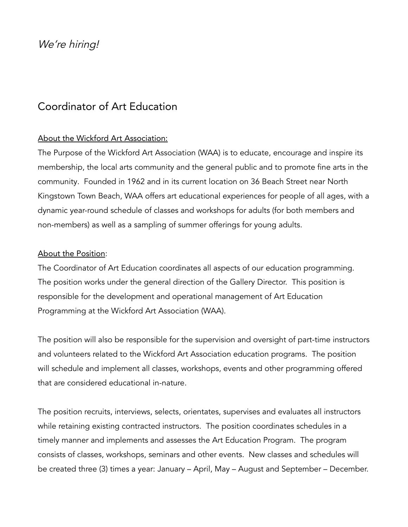We're hiring!

# Coordinator of Art Education

## About the Wickford Art Association:

The Purpose of the Wickford Art Association (WAA) is to educate, encourage and inspire its membership, the local arts community and the general public and to promote fine arts in the community. Founded in 1962 and in its current location on 36 Beach Street near North Kingstown Town Beach, WAA offers art educational experiences for people of all ages, with a dynamic year-round schedule of classes and workshops for adults (for both members and non-members) as well as a sampling of summer offerings for young adults.

## About the Position:

The Coordinator of Art Education coordinates all aspects of our education programming. The position works under the general direction of the Gallery Director. This position is responsible for the development and operational management of Art Education Programming at the Wickford Art Association (WAA).

The position will also be responsible for the supervision and oversight of part-time instructors and volunteers related to the Wickford Art Association education programs. The position will schedule and implement all classes, workshops, events and other programming offered that are considered educational in-nature.

The position recruits, interviews, selects, orientates, supervises and evaluates all instructors while retaining existing contracted instructors. The position coordinates schedules in a timely manner and implements and assesses the Art Education Program. The program consists of classes, workshops, seminars and other events. New classes and schedules will be created three (3) times a year: January – April, May – August and September – December.